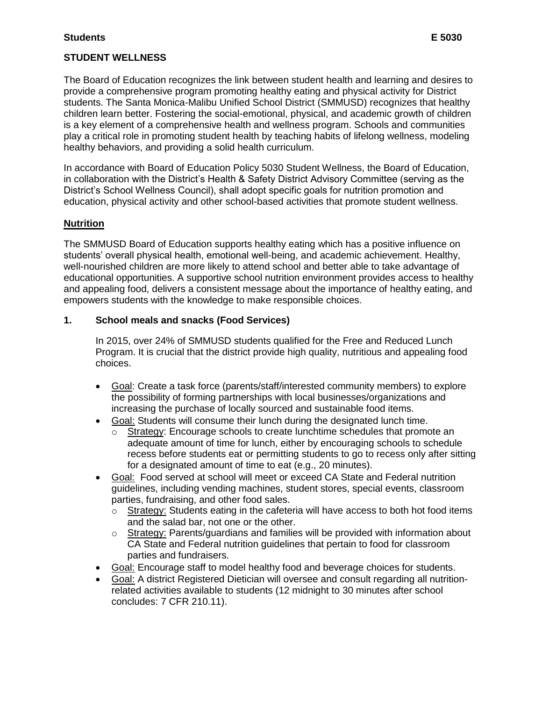#### **STUDENT WELLNESS**

 The Board of Education recognizes the link between student health and learning and desires to provide a comprehensive program promoting healthy eating and physical activity for District students. The Santa Monica-Malibu Unified School District (SMMUSD) recognizes that healthy children learn better. Fostering the social-emotional, physical, and academic growth of children is a key element of a comprehensive health and wellness program. Schools and communities play a critical role in promoting student health by teaching habits of lifelong wellness, modeling healthy behaviors, and providing a solid health curriculum.

 In accordance with Board of Education Policy 5030 Student Wellness, the Board of Education, in collaboration with the District's Health & Safety District Advisory Committee (serving as the District's School Wellness Council), shall adopt specific goals for nutrition promotion and education, physical activity and other school-based activities that promote student wellness.

#### **Nutrition**

 The SMMUSD Board of Education supports healthy eating which has a positive influence on students' overall physical health, emotional well-being, and academic achievement. Healthy, well-nourished children are more likely to attend school and better able to take advantage of educational opportunities. A supportive school nutrition environment provides access to healthy and appealing food, delivers a consistent message about the importance of healthy eating, and empowers students with the knowledge to make responsible choices.

#### **1. School meals and snacks (Food Services)**

 In 2015, over 24% of SMMUSD students qualified for the Free and Reduced Lunch Program. It is crucial that the district provide high quality, nutritious and appealing food choices.

- Goal: Create a task force (parents/staff/interested community members) to explore the possibility of forming partnerships with local businesses/organizations and increasing the purchase of locally sourced and sustainable food items.
- Goal: Students will consume their lunch during the designated lunch time.
	- $\circ$  adequate amount of time for lunch, either by encouraging schools to schedule recess before students eat or permitting students to go to recess only after sitting for a designated amount of time to eat (e.g., 20 minutes). Strategy: Encourage schools to create lunchtime schedules that promote an
- Goal: Food served at school will meet or exceed CA State and Federal nutrition guidelines, including vending machines, student stores, special events, classroom parties, fundraising, and other food sales.
	- $\circ$  and the salad bar, not one or the other. Strategy: Students eating in the cafeteria will have access to both hot food items
	- $\circ$  CA State and Federal nutrition guidelines that pertain to food for classroom Strategy: Parents/guardians and families will be provided with information about parties and fundraisers.
- Goal: Encourage staff to model healthy food and beverage choices for students.
- Goal: A district Registered Dietician will oversee and consult regarding all nutrition- related activities available to students (12 midnight to 30 minutes after school concludes: 7 CFR 210.11).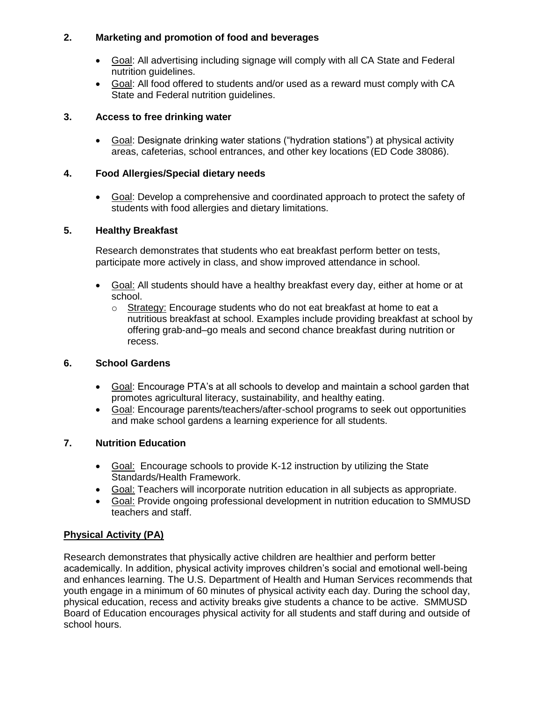#### **2. Marketing and promotion of food and beverages**

- Goal: All advertising including signage will comply with all CA State and Federal nutrition guidelines.
- Goal: All food offered to students and/or used as a reward must comply with CA State and Federal nutrition guidelines.

#### **3. Access to free drinking water**

• Goal: Designate drinking water stations ("hydration stations") at physical activity areas, cafeterias, school entrances, and other key locations (ED Code 38086).

#### **4. Food Allergies/Special dietary needs**

• Goal: Develop a comprehensive and coordinated approach to protect the safety of students with food allergies and dietary limitations.

#### **5. Healthy Breakfast**

 Research demonstrates that students who eat breakfast perform better on tests, participate more actively in class, and show improved attendance in school.

- Goal: All students should have a healthy breakfast every day, either at home or at school.
	- o Strategy: Encourage students who do not eat breakfast at home to eat a nutritious breakfast at school. Examples include providing breakfast at school by offering grab-and–go meals and second chance breakfast during nutrition or recess.

#### **6. School Gardens**

- Goal: Encourage PTA's at all schools to develop and maintain a school garden that promotes agricultural literacy, sustainability, and healthy eating.
- Goal: Encourage parents/teachers/after-school programs to seek out opportunities and make school gardens a learning experience for all students.

## **7. Nutrition Education**

- Goal: Encourage schools to provide K-12 instruction by utilizing the State Standards/Health Framework.
- Goal: Teachers will incorporate nutrition education in all subjects as appropriate.
- Goal: Provide ongoing professional development in nutrition education to SMMUSD teachers and staff.

## **Physical Activity (PA)**

 Research demonstrates that physically active children are healthier and perform better academically. In addition, physical activity improves children's social and emotional well-being and enhances learning. The U.S. Department of Health and Human Services recommends that youth engage in a minimum of 60 minutes of physical activity each day. During the school day, physical education, recess and activity breaks give students a chance to be active. SMMUSD Board of Education encourages physical activity for all students and staff during and outside of school hours.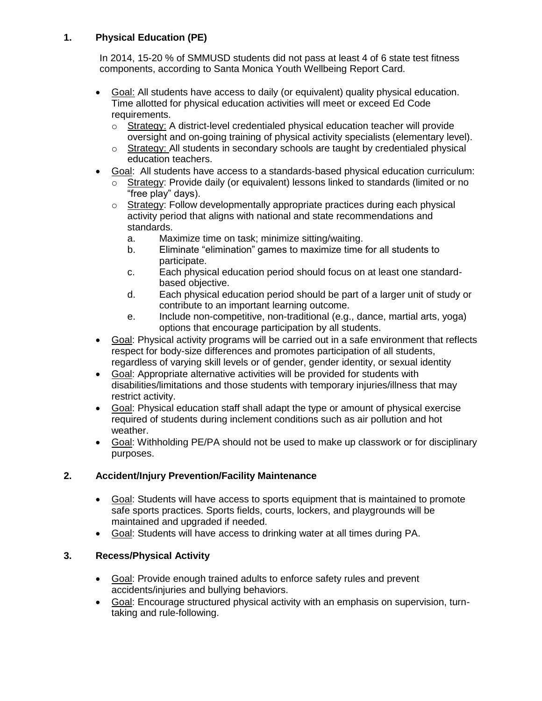## **1. Physical Education (PE)**

 In 2014, 15-20 % of SMMUSD students did not pass at least 4 of 6 state test fitness components, according to Santa Monica Youth Wellbeing Report Card.

- Goal: All students have access to daily (or equivalent) quality physical education. Time allotted for physical education activities will meet or exceed Ed Code requirements.
	- $\circ$  oversight and on-going training of physical activity specialists (elementary level). Strategy: A district-level credentialed physical education teacher will provide
	- $\circ$  education teachers. Strategy: All students in secondary schools are taught by credentialed physical
- Goal: All students have access to a standards-based physical education curriculum:
	- $\circ$ Strategy: Provide daily (or equivalent) lessons linked to standards (limited or no "free play" days).
	- $\circ$  activity period that aligns with national and state recommendations and Strategy: Follow developmentally appropriate practices during each physical standards.
		- a. Maximize time on task; minimize sitting/waiting.
		- b. Eliminate "elimination" games to maximize time for all students to participate.
		- C. based objective. Each physical education period should focus on at least one standard-
		- $d_{-}$  contribute to an important learning outcome. Each physical education period should be part of a larger unit of study or
		- e. Include non-competitive, non-traditional (e.g., dance, martial arts, yoga) options that encourage participation by all students.
- Goal: Physical activity programs will be carried out in a safe environment that reflects respect for body-size differences and promotes participation of all students, regardless of varying skill levels or of gender, gender identity, or sexual identity
- Goal: Appropriate alternative activities will be provided for students with disabilities/limitations and those students with temporary injuries/illness that may restrict activity.
- Goal: Physical education staff shall adapt the type or amount of physical exercise required of students during inclement conditions such as air pollution and hot weather.
- Goal: Withholding PE/PA should not be used to make up classwork or for disciplinary purposes.

## **2. Accident/Injury Prevention/Facility Maintenance**

- Goal: Students will have access to sports equipment that is maintained to promote safe sports practices. Sports fields, courts, lockers, and playgrounds will be maintained and upgraded if needed.
- Goal: Students will have access to drinking water at all times during PA.

# **3. Recess/Physical Activity**

- Goal: Provide enough trained adults to enforce safety rules and prevent accidents/injuries and bullying behaviors.
- Goal: Encourage structured physical activity with an emphasis on supervision, turn-taking and rule-following.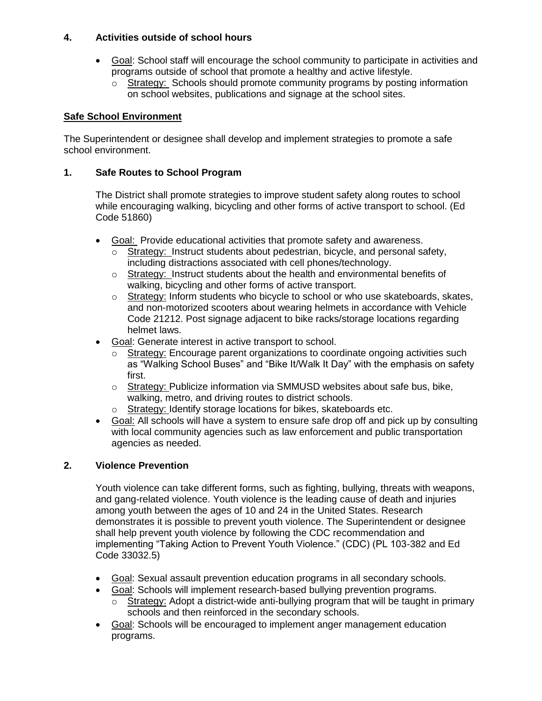#### **4. Activities outside of school hours**

- Goal: School staff will encourage the school community to participate in activities and programs outside of school that promote a healthy and active lifestyle.
	- o Strategy: Schools should promote community programs by posting information on school websites, publications and signage at the school sites.

#### **Safe School Environment**

 The Superintendent or designee shall develop and implement strategies to promote a safe school environment.

#### **1. Safe Routes to School Program**

 The District shall promote strategies to improve student safety along routes to school while encouraging walking, bicycling and other forms of active transport to school. (Ed Code 51860)

- Goal: Provide educational activities that promote safety and awareness.
	- $\circ$ Strategy: Instruct students about pedestrian, bicycle, and personal safety, including distractions associated with cell phones/technology.
	- o Strategy: Instruct students about the health and environmental benefits of walking, bicycling and other forms of active transport.
	- $\circ$  and non-motorized scooters about wearing helmets in accordance with Vehicle Code 21212. Post signage adjacent to bike racks/storage locations regarding helmet laws. Strategy: Inform students who bicycle to school or who use skateboards, skates,
- Goal: Generate interest in active transport to school.
	- $\circ$  as "Walking School Buses" and "Bike It/Walk It Day" with the emphasis on safety first. Strategy: Encourage parent organizations to coordinate ongoing activities such
	- $\circ$  walking, metro, and driving routes to district schools. Strategy: Publicize information via SMMUSD websites about safe bus, bike,
	- $\circ$ Strategy: Identify storage locations for bikes, skateboards etc.
- $\bullet$  with local community agencies such as law enforcement and public transportation agencies as needed. Goal: All schools will have a system to ensure safe drop off and pick up by consulting

## **2. Violence Prevention**

 Youth violence can take different forms, such as fighting, bullying, threats with weapons, and gang-related violence. Youth violence is the leading cause of death and injuries among youth between the ages of 10 and 24 in the United States. Research shall help prevent youth violence by following the CDC recommendation and implementing "Taking Action to Prevent Youth Violence." (CDC) (PL 103-382 and Ed demonstrates it is possible to prevent youth violence. The Superintendent or designee Code 33032.5)

- Goal: Sexual assault prevention education programs in all secondary schools.
- Goal: Schools will implement research-based bullying prevention programs.
	- $\circ$  Strategy: Adopt a district-wide anti-bullying program that will be taught in primary schools and then reinforced in the secondary schools.
- Goal: Schools will be encouraged to implement anger management education programs.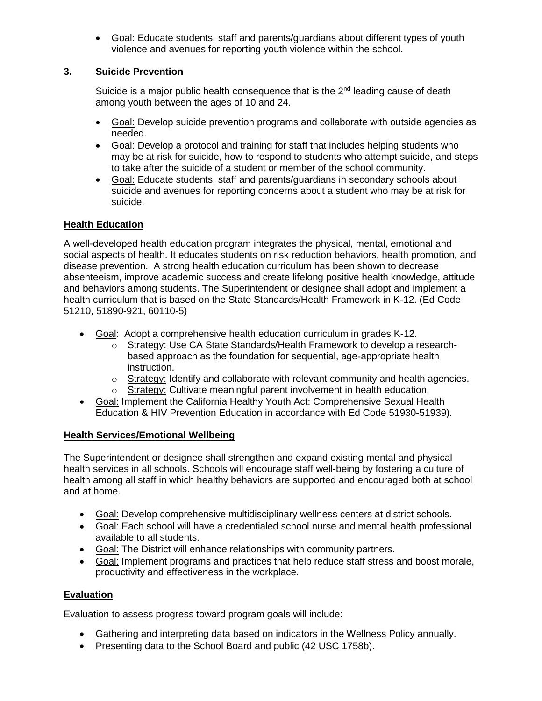• Goal: Educate students, staff and parents/guardians about different types of youth violence and avenues for reporting youth violence within the school.

#### **3. Suicide Prevention**

Suicide is a major public health consequence that is the 2<sup>nd</sup> leading cause of death among youth between the ages of 10 and 24.

- Goal: Develop suicide prevention programs and collaborate with outside agencies as needed.
- Goal: Develop a protocol and training for staff that includes helping students who may be at risk for suicide, how to respond to students who attempt suicide, and steps to take after the suicide of a student or member of the school community.
- Goal: Educate students, staff and parents/guardians in secondary schools about suicide and avenues for reporting concerns about a student who may be at risk for suicide.

## **Health Education**

 A well-developed health education program integrates the physical, mental, emotional and social aspects of health. It educates students on risk reduction behaviors, health promotion, and disease prevention. A strong health education curriculum has been shown to decrease and behaviors among students. The Superintendent or designee shall adopt and implement a health curriculum that is based on the State Standards/Health Framework in K-12. (Ed Code 51210, 51890-921, 60110-5) absenteeism, improve academic success and create lifelong positive health knowledge, attitude

- Goal: Adopt a comprehensive health education curriculum in grades K-12.
	- o Strategy: Use CA State Standards/Health Framework-to develop a research- based approach as the foundation for sequential, age-appropriate health instruction.
	- $\circ$  Strategy: Identify and collaborate with relevant community and health agencies.
	- o Strategy: Cultivate meaningful parent involvement in health education.
- Goal: Implement the California Healthy Youth Act: Comprehensive Sexual Health Education & HIV Prevention Education in accordance with Ed Code 51930-51939).

#### **Health Services/Emotional Wellbeing**

 The Superintendent or designee shall strengthen and expand existing mental and physical health services in all schools. Schools will encourage staff well-being by fostering a culture of health among all staff in which healthy behaviors are supported and encouraged both at school and at home.

- Goal: Develop comprehensive multidisciplinary wellness centers at district schools.
- Goal: Each school will have a credentialed school nurse and mental health professional available to all students.
- Goal: The District will enhance relationships with community partners.
- Goal: Implement programs and practices that help reduce staff stress and boost morale, productivity and effectiveness in the workplace.

## **Evaluation**

Evaluation to assess progress toward program goals will include:

- Gathering and interpreting data based on indicators in the Wellness Policy annually.
- Presenting data to the School Board and public (42 USC 1758b).